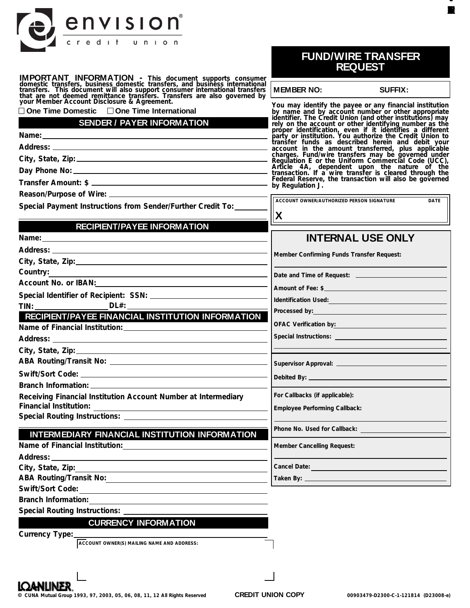| envision                                                                                                                                                                                                                                                                                                                                                                                                                                                                                                                                                                                                                                                                                                                               |                                                                                                                                                                                       |                                                                                                                                                                                                                                                                                                                                                                                                       |
|----------------------------------------------------------------------------------------------------------------------------------------------------------------------------------------------------------------------------------------------------------------------------------------------------------------------------------------------------------------------------------------------------------------------------------------------------------------------------------------------------------------------------------------------------------------------------------------------------------------------------------------------------------------------------------------------------------------------------------------|---------------------------------------------------------------------------------------------------------------------------------------------------------------------------------------|-------------------------------------------------------------------------------------------------------------------------------------------------------------------------------------------------------------------------------------------------------------------------------------------------------------------------------------------------------------------------------------------------------|
| credit union                                                                                                                                                                                                                                                                                                                                                                                                                                                                                                                                                                                                                                                                                                                           |                                                                                                                                                                                       | <b>FUND/WIRE TRANSFER</b><br><b>REQUEST</b>                                                                                                                                                                                                                                                                                                                                                           |
| <b>IMPORTANT INFORMATION</b> - This document supports consumer domestic transfers, business domestic transfers, and business international transfers. This document will also support consumer international transfers that are not                                                                                                                                                                                                                                                                                                                                                                                                                                                                                                    | <b>MEMBER NO:</b>                                                                                                                                                                     | <b>SUFFIX:</b>                                                                                                                                                                                                                                                                                                                                                                                        |
| Vou may identify the payee or any financial institution<br>Come Time Domestic Count Disclosure & Agreement.<br>SENDER / PAYER INFORMATION<br>Name:<br>Mame:<br>Mame:<br>Mame:<br>Mame:<br>Mame:<br>Mame:<br>Mame:<br>Mame:<br>Mame:<br>Mame:<br>Mame:<br>Ma<br>Special Payment Instructions from Sender/Further Credit To:                                                                                                                                                                                                                                                                                                                                                                                                             | by Regulation J.<br>ACCOUNT OWNER/AUTHORIZED PERSON SIGNATURE                                                                                                                         | <b>DATE</b>                                                                                                                                                                                                                                                                                                                                                                                           |
| <b>RECIPIENT/PAYEE INFORMATION</b>                                                                                                                                                                                                                                                                                                                                                                                                                                                                                                                                                                                                                                                                                                     | X                                                                                                                                                                                     |                                                                                                                                                                                                                                                                                                                                                                                                       |
| Name: Name: Name: Name: Name: Name: Name: Name: Name: Name: Name: Name: Name: Name: Name: Name: Name: Name: Name: Name: Name: Name: Name: Name: Name: Name: Name: Name: Name: Name: Name: Name: Name: Name: Name: Name: Name:<br>City, State, Zip: City, State, 2014<br>Country:<br><u> 1980 - Jan Samuel Barbara, martin da shekarar 1980 - An tsara tsara tsara tsara tsara tsara tsara tsara tsar</u><br>Account No. or IBAN: Contract Department of No. 1991<br>TIN: ___________________  DL#: ______<br>RECIPIENT/PAYEE FINANCIAL INSTITUTION INFORMATION<br>City, State, Zip: 2008 City, State of The City, State of The City<br>Receiving Financial Institution Account Number at Intermediary<br><b>Financial Institution:</b> | Member Confirming Funds Transfer Request:<br>Special Instructions: <u>_________________________________</u><br>For Callbacks (if applicable):<br><b>Employee Performing Callback:</b> | <b>INTERNAL USE ONLY</b><br>Identification Used: Note that the control of the control of the control of the control of the control of the control of the control of the control of the control of the control of the control of the control of the control<br>Processed by: Note and the set of the set of the set of the set of the set of the set of the set of the set of<br>OFAC Verification by: |
| INTERMEDIARY FINANCIAL INSTITUTION INFORMATION                                                                                                                                                                                                                                                                                                                                                                                                                                                                                                                                                                                                                                                                                         | Phone No. Used for Callback:                                                                                                                                                          |                                                                                                                                                                                                                                                                                                                                                                                                       |
|                                                                                                                                                                                                                                                                                                                                                                                                                                                                                                                                                                                                                                                                                                                                        | <b>Member Cancelling Request:</b>                                                                                                                                                     |                                                                                                                                                                                                                                                                                                                                                                                                       |
| City, State, Zip:                                                                                                                                                                                                                                                                                                                                                                                                                                                                                                                                                                                                                                                                                                                      | Cancel Date: <b>Example 2018</b>                                                                                                                                                      |                                                                                                                                                                                                                                                                                                                                                                                                       |
| Swift/Sort Code:<br>Branch Information:<br>Special Routing Instructions: __________<br><b>CURRENCY INFORMATION</b><br>Currency Type:                                                                                                                                                                                                                                                                                                                                                                                                                                                                                                                                                                                                   |                                                                                                                                                                                       |                                                                                                                                                                                                                                                                                                                                                                                                       |
| ACCOUNT OWNER(S) MAILING NAME AND ADDRESS:                                                                                                                                                                                                                                                                                                                                                                                                                                                                                                                                                                                                                                                                                             |                                                                                                                                                                                       |                                                                                                                                                                                                                                                                                                                                                                                                       |

**College** ۰ **INTE**